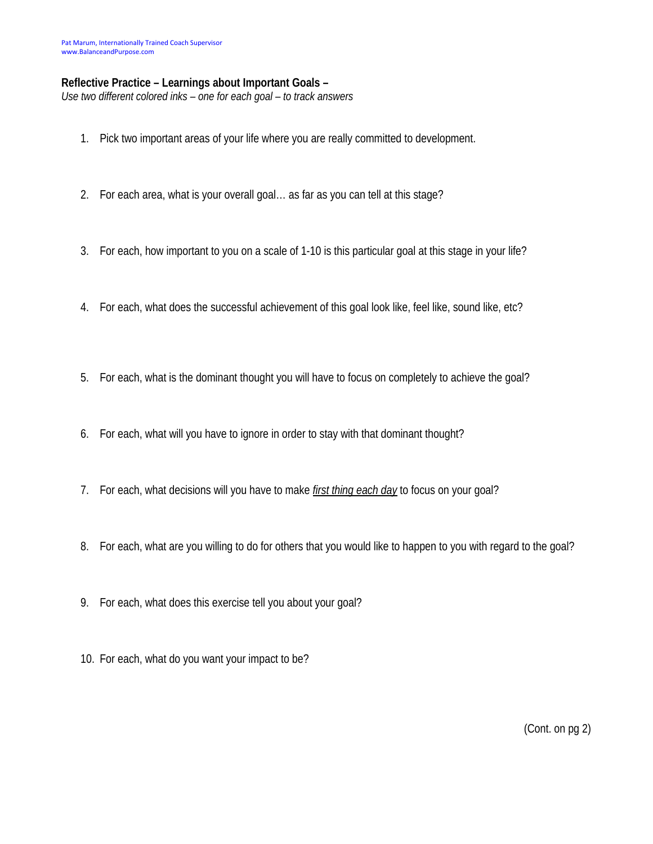## **Reflective Practice – Learnings about Important Goals –**

*Use two different colored inks – one for each goal – to track answers* 

- 1. Pick two important areas of your life where you are really committed to development.
- 2. For each area, what is your overall goal… as far as you can tell at this stage?
- 3. For each, how important to you on a scale of 1-10 is this particular goal at this stage in your life?
- 4. For each, what does the successful achievement of this goal look like, feel like, sound like, etc?
- 5. For each, what is the dominant thought you will have to focus on completely to achieve the goal?
- 6. For each, what will you have to ignore in order to stay with that dominant thought?
- 7. For each, what decisions will you have to make *first thing each day* to focus on your goal?
- 8. For each, what are you willing to do for others that you would like to happen to you with regard to the goal?
- 9. For each, what does this exercise tell you about your goal?
- 10. For each, what do you want your impact to be?

(Cont. on pg 2)